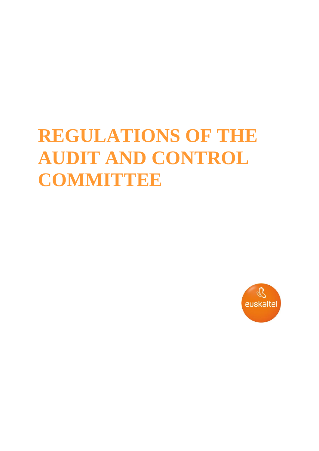# **REGULATIONS OF THE AUDIT AND CONTROL COMMITTEE**

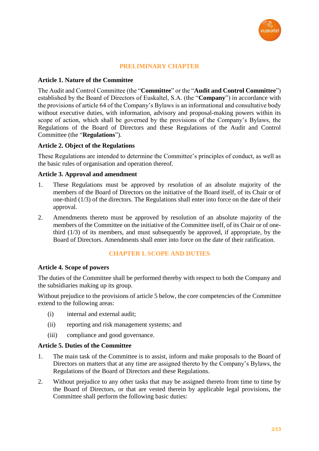

## **PRELIMINARY CHAPTER**

## **Article 1. Nature of the Committee**

The Audit and Control Committee (the "**Committee**" or the "**Audit and Control Committee**") established by the Board of Directors of Euskaltel, S.A. (the "**Company**") in accordance with the provisions of article 64 of the Company's Bylaws is an informational and consultative body without executive duties, with information, advisory and proposal-making powers within its scope of action, which shall be governed by the provisions of the Company's Bylaws, the Regulations of the Board of Directors and these Regulations of the Audit and Control Committee (the "**Regulations**").

# **Article 2. Object of the Regulations**

These Regulations are intended to determine the Committee's principles of conduct, as well as the basic rules of organisation and operation thereof.

## **Article 3. Approval and amendment**

- 1. These Regulations must be approved by resolution of an absolute majority of the members of the Board of Directors on the initiative of the Board itself, of its Chair or of one-third (1/3) of the directors. The Regulations shall enter into force on the date of their approval.
- 2. Amendments thereto must be approved by resolution of an absolute majority of the members of the Committee on the initiative of the Committee itself, of its Chair or of onethird (1/3) of its members, and must subsequently be approved, if appropriate, by the Board of Directors. Amendments shall enter into force on the date of their ratification.

# **CHAPTER I. SCOPE AND DUTIES**

## **Article 4. Scope of powers**

The duties of the Committee shall be performed thereby with respect to both the Company and the subsidiaries making up its group.

Without prejudice to the provisions of article 5 below, the core competencies of the Committee extend to the following areas:

- (i) internal and external audit;
- (ii) reporting and risk management systems; and
- (iii) compliance and good governance.

## **Article 5. Duties of the Committee**

- 1. The main task of the Committee is to assist, inform and make proposals to the Board of Directors on matters that at any time are assigned thereto by the Company's Bylaws, the Regulations of the Board of Directors and these Regulations.
- 2. Without prejudice to any other tasks that may be assigned thereto from time to time by the Board of Directors, or that are vested therein by applicable legal provisions, the Committee shall perform the following basic duties: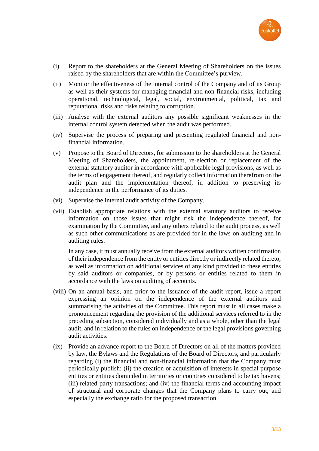

- (i) Report to the shareholders at the General Meeting of Shareholders on the issues raised by the shareholders that are within the Committee's purview.
- (ii) Monitor the effectiveness of the internal control of the Company and of its Group as well as their systems for managing financial and non-financial risks, including operational, technological, legal, social, environmental, political, tax and reputational risks and risks relating to corruption.
- (iii) Analyse with the external auditors any possible significant weaknesses in the internal control system detected when the audit was performed.
- (iv) Supervise the process of preparing and presenting regulated financial and nonfinancial information.
- (v) Propose to the Board of Directors, for submission to the shareholders at the General Meeting of Shareholders, the appointment, re-election or replacement of the external statutory auditor in accordance with applicable legal provisions, as well as the terms of engagement thereof, and regularly collect information therefrom on the audit plan and the implementation thereof, in addition to preserving its independence in the performance of its duties.
- (vi) Supervise the internal audit activity of the Company.
- (vii) Establish appropriate relations with the external statutory auditors to receive information on those issues that might risk the independence thereof, for examination by the Committee, and any others related to the audit process, as well as such other communications as are provided for in the laws on auditing and in auditing rules.

In any case, it must annually receive from the external auditors written confirmation of their independence from the entity or entities directly or indirectly related thereto, as well as information on additional services of any kind provided to these entities by said auditors or companies, or by persons or entities related to them in accordance with the laws on auditing of accounts.

- (viii) On an annual basis, and prior to the issuance of the audit report, issue a report expressing an opinion on the independence of the external auditors and summarising the activities of the Committee. This report must in all cases make a pronouncement regarding the provision of the additional services referred to in the preceding subsection, considered individually and as a whole, other than the legal audit, and in relation to the rules on independence or the legal provisions governing audit activities.
- (ix) Provide an advance report to the Board of Directors on all of the matters provided by law, the Bylaws and the Regulations of the Board of Directors, and particularly regarding (i) the financial and non-financial information that the Company must periodically publish; (ii) the creation or acquisition of interests in special purpose entities or entities domiciled in territories or countries considered to be tax havens; (iii) related-party transactions; and (iv) the financial terms and accounting impact of structural and corporate changes that the Company plans to carry out, and especially the exchange ratio for the proposed transaction.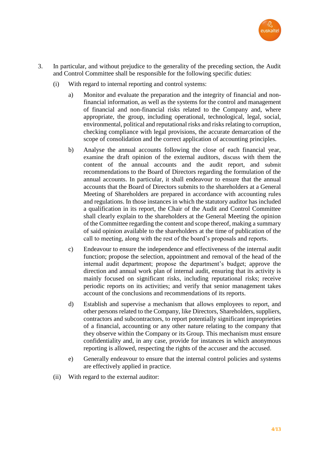

- 3. In particular, and without prejudice to the generality of the preceding section, the Audit and Control Committee shall be responsible for the following specific duties:
	- (i) With regard to internal reporting and control systems:
		- a) Monitor and evaluate the preparation and the integrity of financial and nonfinancial information, as well as the systems for the control and management of financial and non-financial risks related to the Company and, where appropriate, the group, including operational, technological, legal, social, environmental, political and reputational risks and risks relating to corruption, checking compliance with legal provisions, the accurate demarcation of the scope of consolidation and the correct application of accounting principles.
		- b) Analyse the annual accounts following the close of each financial year, examine the draft opinion of the external auditors, discuss with them the content of the annual accounts and the audit report, and submit recommendations to the Board of Directors regarding the formulation of the annual accounts. In particular, it shall endeavour to ensure that the annual accounts that the Board of Directors submits to the shareholders at a General Meeting of Shareholders are prepared in accordance with accounting rules and regulations. In those instances in which the statutory auditor has included a qualification in its report, the Chair of the Audit and Control Committee shall clearly explain to the shareholders at the General Meeting the opinion of the Committee regarding the content and scope thereof, making a summary of said opinion available to the shareholders at the time of publication of the call to meeting, along with the rest of the board's proposals and reports.
		- c) Endeavour to ensure the independence and effectiveness of the internal audit function; propose the selection, appointment and removal of the head of the internal audit department; propose the department's budget; approve the direction and annual work plan of internal audit, ensuring that its activity is mainly focused on significant risks, including reputational risks; receive periodic reports on its activities; and verify that senior management takes account of the conclusions and recommendations of its reports.
		- d) Establish and supervise a mechanism that allows employees to report, and other persons related to the Company, like Directors, Shareholders, suppliers, contractors and subcontractors, to report potentially significant improprieties of a financial, accounting or any other nature relating to the company that they observe within the Company or its Group. This mechanism must ensure confidentiality and, in any case, provide for instances in which anonymous reporting is allowed, respecting the rights of the accuser and the accused.
		- e) Generally endeavour to ensure that the internal control policies and systems are effectively applied in practice.
	- (ii) With regard to the external auditor: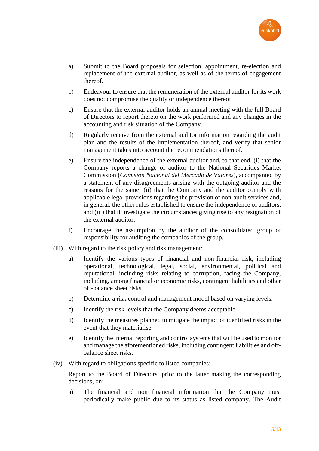

- a) Submit to the Board proposals for selection, appointment, re-election and replacement of the external auditor, as well as of the terms of engagement thereof.
- b) Endeavour to ensure that the remuneration of the external auditor for its work does not compromise the quality or independence thereof.
- c) Ensure that the external auditor holds an annual meeting with the full Board of Directors to report thereto on the work performed and any changes in the accounting and risk situation of the Company.
- d) Regularly receive from the external auditor information regarding the audit plan and the results of the implementation thereof, and verify that senior management takes into account the recommendations thereof.
- e) Ensure the independence of the external auditor and, to that end, (i) that the Company reports a change of auditor to the National Securities Market Commission (*Comisión Nacional del Mercado de Valores*), accompanied by a statement of any disagreements arising with the outgoing auditor and the reasons for the same; (ii) that the Company and the auditor comply with applicable legal provisions regarding the provision of non-audit services and, in general, the other rules established to ensure the independence of auditors, and (iii) that it investigate the circumstances giving rise to any resignation of the external auditor.
- f) Encourage the assumption by the auditor of the consolidated group of responsibility for auditing the companies of the group.
- (iii) With regard to the risk policy and risk management:
	- a) Identify the various types of financial and non-financial risk, including operational, technological, legal, social, environmental, political and reputational, including risks relating to corruption, facing the Company, including, among financial or economic risks, contingent liabilities and other off-balance sheet risks.
	- b) Determine a risk control and management model based on varying levels.
	- c) Identify the risk levels that the Company deems acceptable.
	- d) Identify the measures planned to mitigate the impact of identified risks in the event that they materialise.
	- e) Identify the internal reporting and control systems that will be used to monitor and manage the aforementioned risks, including contingent liabilities and offbalance sheet risks.
- (iv) With regard to obligations specific to listed companies:

Report to the Board of Directors, prior to the latter making the corresponding decisions, on:

a) The financial and non financial information that the Company must periodically make public due to its status as listed company. The Audit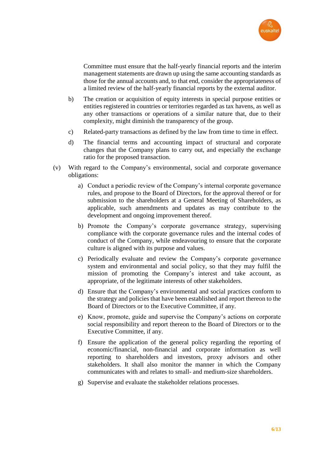

Committee must ensure that the half-yearly financial reports and the interim management statements are drawn up using the same accounting standards as those for the annual accounts and, to that end, consider the appropriateness of a limited review of the half-yearly financial reports by the external auditor.

- b) The creation or acquisition of equity interests in special purpose entities or entities registered in countries or territories regarded as tax havens, as well as any other transactions or operations of a similar nature that, due to their complexity, might diminish the transparency of the group.
- c) Related-party transactions as defined by the law from time to time in effect.
- d) The financial terms and accounting impact of structural and corporate changes that the Company plans to carry out, and especially the exchange ratio for the proposed transaction.
- (v) With regard to the Company's environmental, social and corporate governance obligations:
	- a) Conduct a periodic review of the Company's internal corporate governance rules, and propose to the Board of Directors, for the approval thereof or for submission to the shareholders at a General Meeting of Shareholders, as applicable, such amendments and updates as may contribute to the development and ongoing improvement thereof.
	- b) Promote the Company's corporate governance strategy, supervising compliance with the corporate governance rules and the internal codes of conduct of the Company, while endeavouring to ensure that the corporate culture is aligned with its purpose and values.
	- c) Periodically evaluate and review the Company's corporate governance system and environmental and social policy, so that they may fulfil the mission of promoting the Company's interest and take account, as appropriate, of the legitimate interests of other stakeholders.
	- d) Ensure that the Company's environmental and social practices conform to the strategy and policies that have been established and report thereon to the Board of Directors or to the Executive Committee, if any.
	- e) Know, promote, guide and supervise the Company's actions on corporate social responsibility and report thereon to the Board of Directors or to the Executive Committee, if any.
	- f) Ensure the application of the general policy regarding the reporting of economic/financial, non-financial and corporate information as well reporting to shareholders and investors, proxy advisors and other stakeholders. It shall also monitor the manner in which the Company communicates with and relates to small- and medium-size shareholders.
	- g) Supervise and evaluate the stakeholder relations processes.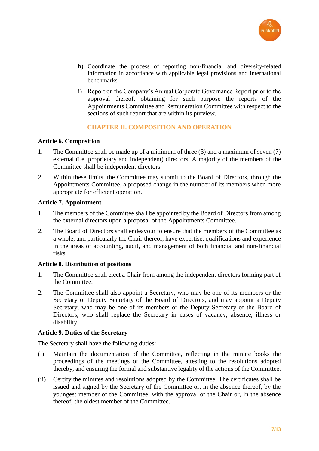

- h) Coordinate the process of reporting non-financial and diversity-related information in accordance with applicable legal provisions and international benchmarks.
- i) Report on the Company's Annual Corporate Governance Report prior to the approval thereof, obtaining for such purpose the reports of the Appointments Committee and Remuneration Committee with respect to the sections of such report that are within its purview.

# **CHAPTER II. COMPOSITION AND OPERATION**

## **Article 6. Composition**

- 1. The Committee shall be made up of a minimum of three (3) and a maximum of seven (7) external (i.e. proprietary and independent) directors. A majority of the members of the Committee shall be independent directors.
- 2. Within these limits, the Committee may submit to the Board of Directors, through the Appointments Committee, a proposed change in the number of its members when more appropriate for efficient operation.

## **Article 7. Appointment**

- 1. The members of the Committee shall be appointed by the Board of Directors from among the external directors upon a proposal of the Appointments Committee.
- 2. The Board of Directors shall endeavour to ensure that the members of the Committee as a whole, and particularly the Chair thereof, have expertise, qualifications and experience in the areas of accounting, audit, and management of both financial and non-financial risks.

## **Article 8. Distribution of positions**

- 1. The Committee shall elect a Chair from among the independent directors forming part of the Committee.
- 2. The Committee shall also appoint a Secretary, who may be one of its members or the Secretary or Deputy Secretary of the Board of Directors, and may appoint a Deputy Secretary, who may be one of its members or the Deputy Secretary of the Board of Directors, who shall replace the Secretary in cases of vacancy, absence, illness or disability.

## **Article 9. Duties of the Secretary**

The Secretary shall have the following duties:

- (i) Maintain the documentation of the Committee, reflecting in the minute books the proceedings of the meetings of the Committee, attesting to the resolutions adopted thereby, and ensuring the formal and substantive legality of the actions of the Committee.
- (ii) Certify the minutes and resolutions adopted by the Committee. The certificates shall be issued and signed by the Secretary of the Committee or, in the absence thereof, by the youngest member of the Committee, with the approval of the Chair or, in the absence thereof, the oldest member of the Committee.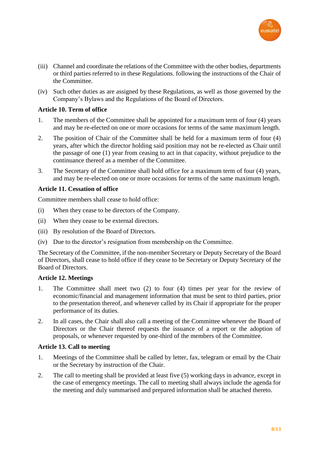

- (iii) Channel and coordinate the relations of the Committee with the other bodies, departments or third parties referred to in these Regulations. following the instructions of the Chair of the Committee.
- (iv) Such other duties as are assigned by these Regulations, as well as those governed by the Company's Bylaws and the Regulations of the Board of Directors.

## **Article 10. Term of office**

- 1. The members of the Committee shall be appointed for a maximum term of four (4) years and may be re-elected on one or more occasions for terms of the same maximum length.
- 2. The position of Chair of the Committee shall be held for a maximum term of four (4) years, after which the director holding said position may not be re-elected as Chair until the passage of one (1) year from ceasing to act in that capacity, without prejudice to the continuance thereof as a member of the Committee.
- 3. The Secretary of the Committee shall hold office for a maximum term of four (4) years, and may be re-elected on one or more occasions for terms of the same maximum length.

## **Article 11. Cessation of office**

Committee members shall cease to hold office:

- (i) When they cease to be directors of the Company.
- (ii) When they cease to be external directors.
- (iii) By resolution of the Board of Directors.
- (iv) Due to the director's resignation from membership on the Committee.

The Secretary of the Committee, if the non-member Secretary or Deputy Secretary of the Board of Directors, shall cease to hold office if they cease to be Secretary or Deputy Secretary of the Board of Directors.

## **Article 12. Meetings**

- 1. The Committee shall meet two (2) to four (4) times per year for the review of economic/financial and management information that must be sent to third parties, prior to the presentation thereof, and whenever called by its Chair if appropriate for the proper performance of its duties.
- 2. In all cases, the Chair shall also call a meeting of the Committee whenever the Board of Directors or the Chair thereof requests the issuance of a report or the adoption of proposals, or whenever requested by one-third of the members of the Committee.

## **Article 13. Call to meeting**

- 1. Meetings of the Committee shall be called by letter, fax, telegram or email by the Chair or the Secretary by instruction of the Chair.
- 2. The call to meeting shall be provided at least five (5) working days in advance, except in the case of emergency meetings. The call to meeting shall always include the agenda for the meeting and duly summarised and prepared information shall be attached thereto.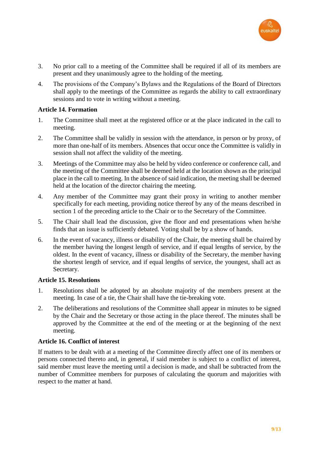

- 3. No prior call to a meeting of the Committee shall be required if all of its members are present and they unanimously agree to the holding of the meeting.
- 4. The provisions of the Company's Bylaws and the Regulations of the Board of Directors shall apply to the meetings of the Committee as regards the ability to call extraordinary sessions and to vote in writing without a meeting.

## **Article 14. Formation**

- 1. The Committee shall meet at the registered office or at the place indicated in the call to meeting.
- 2. The Committee shall be validly in session with the attendance, in person or by proxy, of more than one-half of its members. Absences that occur once the Committee is validly in session shall not affect the validity of the meeting.
- 3. Meetings of the Committee may also be held by video conference or conference call, and the meeting of the Committee shall be deemed held at the location shown as the principal place in the call to meeting. In the absence of said indication, the meeting shall be deemed held at the location of the director chairing the meeting.
- 4. Any member of the Committee may grant their proxy in writing to another member specifically for each meeting, providing notice thereof by any of the means described in section 1 of the preceding article to the Chair or to the Secretary of the Committee.
- 5. The Chair shall lead the discussion, give the floor and end presentations when he/she finds that an issue is sufficiently debated. Voting shall be by a show of hands.
- 6. In the event of vacancy, illness or disability of the Chair, the meeting shall be chaired by the member having the longest length of service, and if equal lengths of service, by the oldest. In the event of vacancy, illness or disability of the Secretary, the member having the shortest length of service, and if equal lengths of service, the youngest, shall act as Secretary.

## **Article 15. Resolutions**

- 1. Resolutions shall be adopted by an absolute majority of the members present at the meeting. In case of a tie, the Chair shall have the tie-breaking vote.
- 2. The deliberations and resolutions of the Committee shall appear in minutes to be signed by the Chair and the Secretary or those acting in the place thereof. The minutes shall be approved by the Committee at the end of the meeting or at the beginning of the next meeting.

# **Article 16. Conflict of interest**

If matters to be dealt with at a meeting of the Committee directly affect one of its members or persons connected thereto and, in general, if said member is subject to a conflict of interest, said member must leave the meeting until a decision is made, and shall be subtracted from the number of Committee members for purposes of calculating the quorum and majorities with respect to the matter at hand.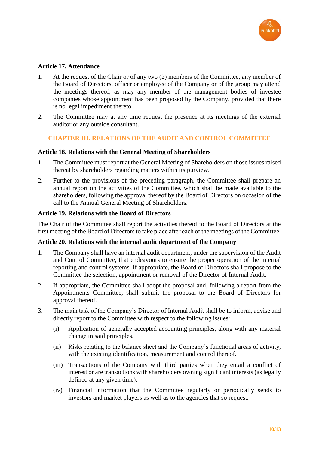

## **Article 17. Attendance**

- 1. At the request of the Chair or of any two (2) members of the Committee, any member of the Board of Directors, officer or employee of the Company or of the group may attend the meetings thereof, as may any member of the management bodies of investee companies whose appointment has been proposed by the Company, provided that there is no legal impediment thereto.
- 2. The Committee may at any time request the presence at its meetings of the external auditor or any outside consultant.

# **CHAPTER III. RELATIONS OF THE AUDIT AND CONTROL COMMITTEE**

## **Article 18. Relations with the General Meeting of Shareholders**

- 1. The Committee must report at the General Meeting of Shareholders on those issues raised thereat by shareholders regarding matters within its purview.
- 2. Further to the provisions of the preceding paragraph, the Committee shall prepare an annual report on the activities of the Committee, which shall be made available to the shareholders, following the approval thereof by the Board of Directors on occasion of the call to the Annual General Meeting of Shareholders.

## **Article 19. Relations with the Board of Directors**

The Chair of the Committee shall report the activities thereof to the Board of Directors at the first meeting of the Board of Directors to take place after each of the meetings of the Committee.

## **Article 20. Relations with the internal audit department of the Company**

- 1. The Company shall have an internal audit department, under the supervision of the Audit and Control Committee, that endeavours to ensure the proper operation of the internal reporting and control systems. If appropriate, the Board of Directors shall propose to the Committee the selection, appointment or removal of the Director of Internal Audit.
- 2. If appropriate, the Committee shall adopt the proposal and, following a report from the Appointments Committee, shall submit the proposal to the Board of Directors for approval thereof.
- 3. The main task of the Company's Director of Internal Audit shall be to inform, advise and directly report to the Committee with respect to the following issues:
	- (i) Application of generally accepted accounting principles, along with any material change in said principles.
	- (ii) Risks relating to the balance sheet and the Company's functional areas of activity, with the existing identification, measurement and control thereof.
	- (iii) Transactions of the Company with third parties when they entail a conflict of interest or are transactions with shareholders owning significant interests (as legally defined at any given time).
	- (iv) Financial information that the Committee regularly or periodically sends to investors and market players as well as to the agencies that so request.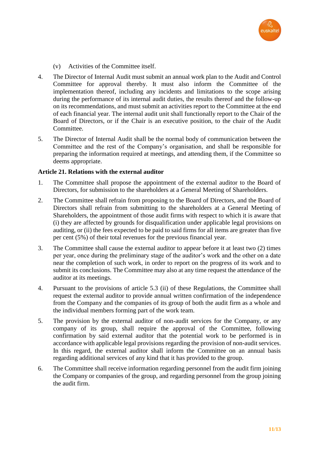

- (v) Activities of the Committee itself.
- 4. The Director of Internal Audit must submit an annual work plan to the Audit and Control Committee for approval thereby. It must also inform the Committee of the implementation thereof, including any incidents and limitations to the scope arising during the performance of its internal audit duties, the results thereof and the follow-up on its recommendations, and must submit an activities report to the Committee at the end of each financial year. The internal audit unit shall functionally report to the Chair of the Board of Directors, or if the Chair is an executive position, to the chair of the Audit Committee.
- 5. The Director of Internal Audit shall be the normal body of communication between the Committee and the rest of the Company's organisation, and shall be responsible for preparing the information required at meetings, and attending them, if the Committee so deems appropriate.

## **Article 21. Relations with the external auditor**

- 1. The Committee shall propose the appointment of the external auditor to the Board of Directors, for submission to the shareholders at a General Meeting of Shareholders.
- 2. The Committee shall refrain from proposing to the Board of Directors, and the Board of Directors shall refrain from submitting to the shareholders at a General Meeting of Shareholders, the appointment of those audit firms with respect to which it is aware that (i) they are affected by grounds for disqualification under applicable legal provisions on auditing, or (ii) the fees expected to be paid to said firms for all items are greater than five per cent (5%) of their total revenues for the previous financial year.
- 3. The Committee shall cause the external auditor to appear before it at least two (2) times per year, once during the preliminary stage of the auditor's work and the other on a date near the completion of such work, in order to report on the progress of its work and to submit its conclusions. The Committee may also at any time request the attendance of the auditor at its meetings.
- 4. Pursuant to the provisions of article 5.3 (ii) of these Regulations, the Committee shall request the external auditor to provide annual written confirmation of the independence from the Company and the companies of its group of both the audit firm as a whole and the individual members forming part of the work team.
- 5. The provision by the external auditor of non-audit services for the Company, or any company of its group, shall require the approval of the Committee, following confirmation by said external auditor that the potential work to be performed is in accordance with applicable legal provisions regarding the provision of non-audit services. In this regard, the external auditor shall inform the Committee on an annual basis regarding additional services of any kind that it has provided to the group.
- 6. The Committee shall receive information regarding personnel from the audit firm joining the Company or companies of the group, and regarding personnel from the group joining the audit firm.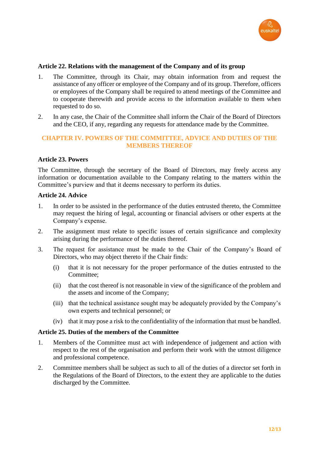

## **Article 22. Relations with the management of the Company and of its group**

- 1. The Committee, through its Chair, may obtain information from and request the assistance of any officer or employee of the Company and of its group. Therefore, officers or employees of the Company shall be required to attend meetings of the Committee and to cooperate therewith and provide access to the information available to them when requested to do so.
- 2. In any case, the Chair of the Committee shall inform the Chair of the Board of Directors and the CEO, if any, regarding any requests for attendance made by the Committee.

# **CHAPTER IV. POWERS OF THE COMMITTEE, ADVICE AND DUTIES OF THE MEMBERS THEREOF**

#### **Article 23. Powers**

The Committee, through the secretary of the Board of Directors, may freely access any information or documentation available to the Company relating to the matters within the Committee's purview and that it deems necessary to perform its duties.

#### **Article 24. Advice**

- 1. In order to be assisted in the performance of the duties entrusted thereto, the Committee may request the hiring of legal, accounting or financial advisers or other experts at the Company's expense.
- 2. The assignment must relate to specific issues of certain significance and complexity arising during the performance of the duties thereof.
- 3. The request for assistance must be made to the Chair of the Company's Board of Directors, who may object thereto if the Chair finds:
	- (i) that it is not necessary for the proper performance of the duties entrusted to the Committee;
	- (ii) that the cost thereof is not reasonable in view of the significance of the problem and the assets and income of the Company;
	- (iii) that the technical assistance sought may be adequately provided by the Company's own experts and technical personnel; or
	- (iv) that it may pose a risk to the confidentiality of the information that must be handled.

#### **Article 25. Duties of the members of the Committee**

- 1. Members of the Committee must act with independence of judgement and action with respect to the rest of the organisation and perform their work with the utmost diligence and professional competence.
- 2. Committee members shall be subject as such to all of the duties of a director set forth in the Regulations of the Board of Directors, to the extent they are applicable to the duties discharged by the Committee.